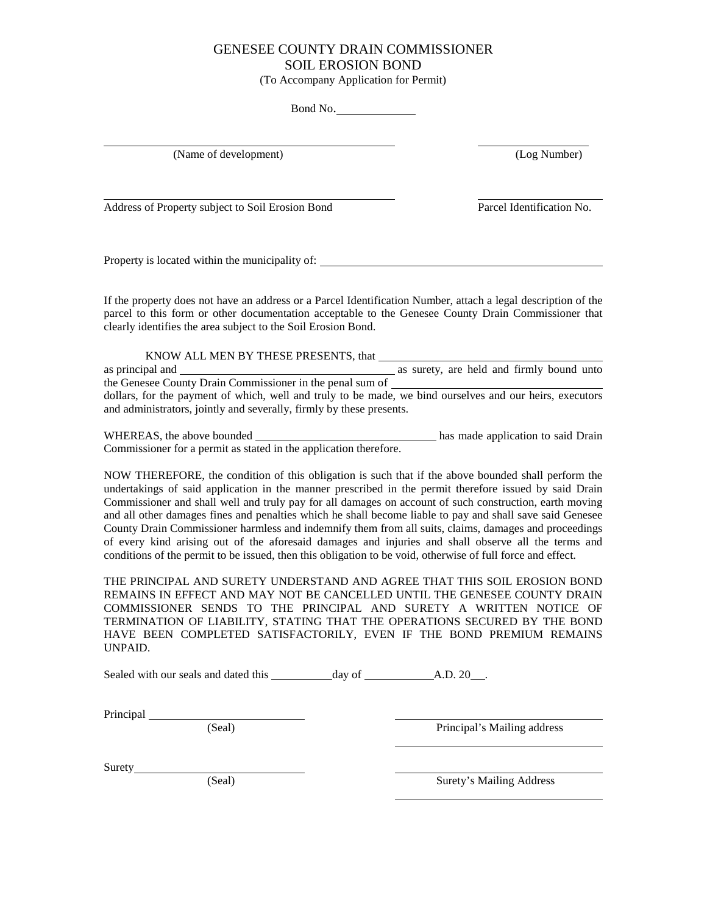## GENESEE COUNTY DRAIN COMMISSIONER SOIL EROSION BOND

(To Accompany Application for Permit)

Bond No.

(Name of development) (Log Number)

Address of Property subject to Soil Erosion Bond Parcel Identification No.

Property is located within the municipality of:

If the property does not have an address or a Parcel Identification Number, attach a legal description of the parcel to this form or other documentation acceptable to the Genesee County Drain Commissioner that clearly identifies the area subject to the Soil Erosion Bond.

KNOW ALL MEN BY THESE PRESENTS, that as principal and as surety, are held and firmly bound unto the Genesee County Drain Commissioner in the penal sum of dollars, for the payment of which, well and truly to be made, we bind ourselves and our heirs, executors and administrators, jointly and severally, firmly by these presents.

WHEREAS, the above bounded has made application to said Drain Commissioner for a permit as stated in the application therefore.

NOW THEREFORE, the condition of this obligation is such that if the above bounded shall perform the undertakings of said application in the manner prescribed in the permit therefore issued by said Drain Commissioner and shall well and truly pay for all damages on account of such construction, earth moving and all other damages fines and penalties which he shall become liable to pay and shall save said Genesee County Drain Commissioner harmless and indemnify them from all suits, claims, damages and proceedings of every kind arising out of the aforesaid damages and injuries and shall observe all the terms and conditions of the permit to be issued, then this obligation to be void, otherwise of full force and effect.

THE PRINCIPAL AND SURETY UNDERSTAND AND AGREE THAT THIS SOIL EROSION BOND REMAINS IN EFFECT AND MAY NOT BE CANCELLED UNTIL THE GENESEE COUNTY DRAIN COMMISSIONER SENDS TO THE PRINCIPAL AND SURETY A WRITTEN NOTICE OF TERMINATION OF LIABILITY, STATING THAT THE OPERATIONS SECURED BY THE BOND HAVE BEEN COMPLETED SATISFACTORILY, EVEN IF THE BOND PREMIUM REMAINS UNPAID.

Sealed with our seals and dated this day of A.D. 20.

Principal

(Seal) Principal's Mailing address

Surety<br>
(Seal)

Surety's Mailing Address